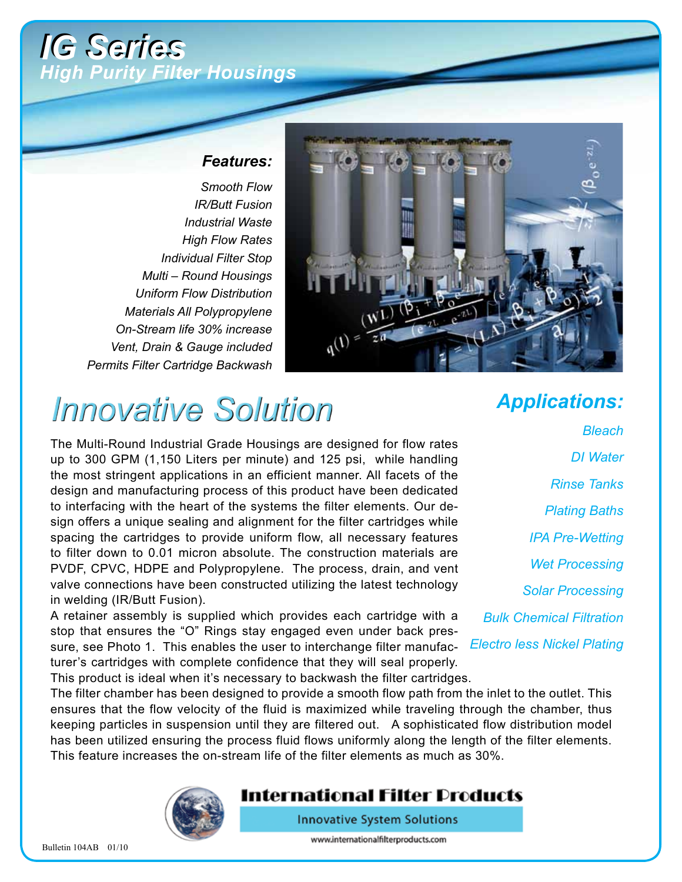### *IG Series IG Series High Purity Filter Housings*

#### *Features:*

*Smooth Flow IR/Butt Fusion Industrial Waste High Flow Rates Individual Filter Stop Multi – Round Housings Uniform Flow Distribution Materials All Polypropylene On-Stream life 30% increase Vent, Drain & Gauge included Permits Filter Cartridge Backwash*



# *Innovative Solution*

The Multi-Round Industrial Grade Housings are designed for flow rates up to 300 GPM (1,150 Liters per minute) and 125 psi, while handling the most stringent applications in an efficient manner. All facets of the design and manufacturing process of this product have been dedicated to interfacing with the heart of the systems the filter elements. Our design offers a unique sealing and alignment for the filter cartridges while spacing the cartridges to provide uniform flow, all necessary features to filter down to 0.01 micron absolute. The construction materials are PVDF, CPVC, HDPE and Polypropylene. The process, drain, and vent valve connections have been constructed utilizing the latest technology in welding (IR/Butt Fusion).

A retainer assembly is supplied which provides each cartridge with a stop that ensures the "O" Rings stay engaged even under back pressure, see Photo 1. This enables the user to interchange filter manufac-*Electro less Nickel Plating* turer's cartridges with complete confidence that they will seal properly.

*Applications:*

*Bleach DI Water Rinse Tanks Plating Baths IPA Pre-Wetting Wet Processing Solar Processing Bulk Chemical Filtration*

This product is ideal when it's necessary to backwash the filter cartridges.

The filter chamber has been designed to provide a smooth flow path from the inlet to the outlet. This ensures that the flow velocity of the fluid is maximized while traveling through the chamber, thus keeping particles in suspension until they are filtered out. A sophisticated flow distribution model has been utilized ensuring the process fluid flows uniformly along the length of the filter elements. This feature increases the on-stream life of the filter elements as much as 30%.



### International Filter Products

**Innovative System Solutions** 

www.internationalfilterproducts.com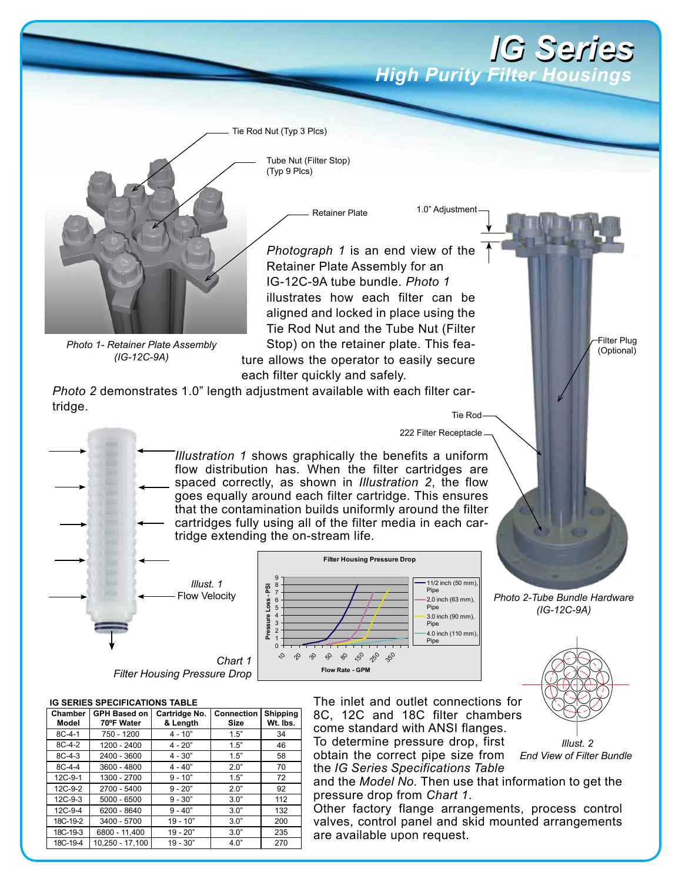### *IG Series IG Series* **High Purity Filter Housing**

Tie Rod Nut (Typ 3 Plcs)

Tube Nut (Filter Stop) (Typ 9 Plcs)

Retainer Plate

*Photograph 1* is an end view of the Retainer Plate Assembly for an IG-12C-9A tube bundle. *Photo 1* illustrates how each filter can be aligned and locked in place using the Tie Rod Nut and the Tube Nut (Filter Stop) on the retainer plate. This feature allows the operator to easily secure each filter quickly and safely.

*Photo 2* demonstrates 1.0" length adjustment available with each filter cartridge. Tie Rod

> *Illustration 1* shows graphically the benefits a uniform flow distribution has. When the filter cartridges are spaced correctly, as shown in *Illustration 2*, the flow goes equally around each filter cartridge. This ensures that the contamination builds uniformly around the filter cartridges fully using all of the filter media in each cartridge extending the on-stream life.



**IG SERIES SPECIFICATIONS TABLE**

*Photo 1- Retainer Plate Assembly (IG-12C-9A)*

| IG SERIES SPECIFICATIONS TABLE |                            |                           |                           |                             |  |  |  |  |
|--------------------------------|----------------------------|---------------------------|---------------------------|-----------------------------|--|--|--|--|
| Chamber<br>Model               | GPH Based on<br>70°F Water | Cartridge No.<br>& Length | <b>Connection</b><br>Size | <b>Shipping</b><br>Wt. Ibs. |  |  |  |  |
| $8C-4-1$                       | 750 - 1200                 | $4 - 10"$                 | 1.5"                      | 34                          |  |  |  |  |
| $8C-4-2$                       | 1200 - 2400                | $4 - 20"$                 | 1.5"                      | 46                          |  |  |  |  |
| $8C-4-3$                       | 2400 - 3600                | $4 - 30"$                 | 1.5"                      | 58                          |  |  |  |  |
| $8C-4-4$                       | 3600 - 4800                | $4 - 40"$                 | 2.0"                      | 70                          |  |  |  |  |
| 12C-9-1                        | 1300 - 2700                | $9 - 10"$                 | 1.5"                      | 72                          |  |  |  |  |
| $12C-9-2$                      | 2700 - 5400                | $9 - 20"$                 | 2.0"                      | 92                          |  |  |  |  |
| $12C-9-3$                      | $5000 - 6500$              | $9 - 30"$                 | 3.0"                      | 112                         |  |  |  |  |
| $12C-9-4$                      | 6200 - 8640                | $9 - 40"$                 | 3.0"                      | 132                         |  |  |  |  |
| 18C-19-2                       | 3400 - 5700                | $19 - 10"$                | 3.0"                      | 200                         |  |  |  |  |
| 18C-19-3                       | 6800 - 11.400              | $19 - 20"$                | 3.0"                      | 235                         |  |  |  |  |
| 18C-19-4                       | 10,250 - 17,100            | $19 - 30"$                | 4.0"                      | 270                         |  |  |  |  |

The inlet and outlet connections for 8C, 12C and 18C filter chambers come standard with ANSI flanges. To determine pressure drop, first

222 Filter Receptacle

1.0" Adjustment

obtain the correct pipe size from the *IG Series Specifications Table*

and the *Model No.* Then use that information to get the pressure drop from *Chart 1*.

Other factory flange arrangements, process control valves, control panel and skid mounted arrangements are available upon request.



*Photo 2-Tube Bundle Hardware (IG-12C-9A)*

> *Illust. 2 End View of Filter Bundle*

Filter Plug (Optional)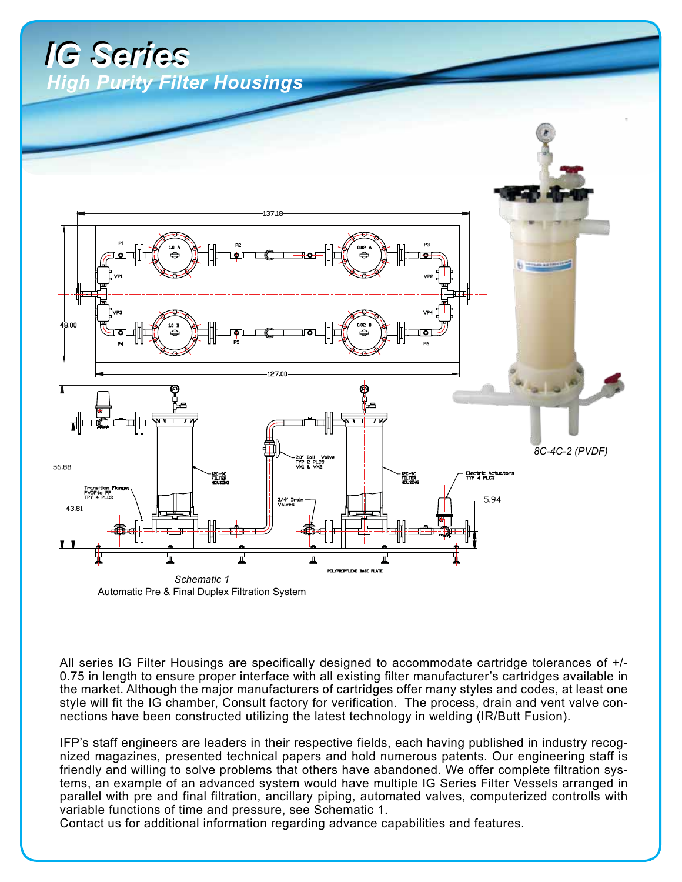## *IG Series IG Series <u>Igh Purity Filter Housings</u>*



All series IG Filter Housings are specifically designed to accommodate cartridge tolerances of +/- 0.75 in length to ensure proper interface with all existing filter manufacturer's cartridges available in the market. Although the major manufacturers of cartridges offer many styles and codes, at least one style will fit the IG chamber, Consult factory for verification. The process, drain and vent valve connections have been constructed utilizing the latest technology in welding (IR/Butt Fusion).

IFP's staff engineers are leaders in their respective fields, each having published in industry recognized magazines, presented technical papers and hold numerous patents. Our engineering staff is friendly and willing to solve problems that others have abandoned. We offer complete filtration systems, an example of an advanced system would have multiple IG Series Filter Vessels arranged in parallel with pre and final filtration, ancillary piping, automated valves, computerized controlls with variable functions of time and pressure, see Schematic 1.

Contact us for additional information regarding advance capabilities and features.